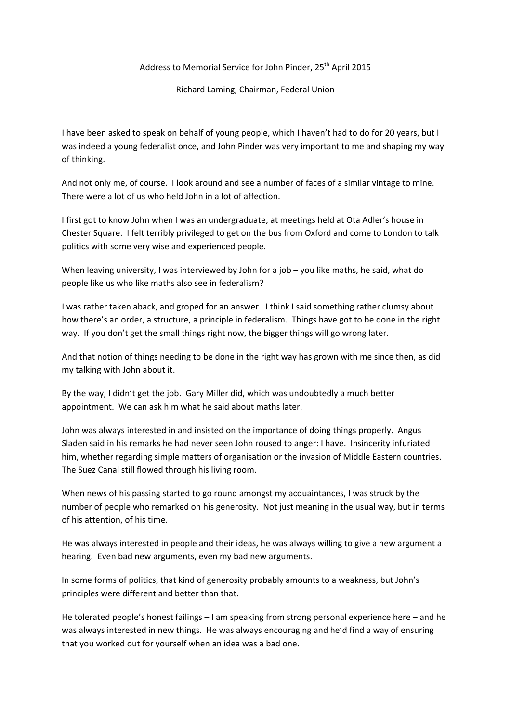## Address to Memorial Service for John Pinder, 25<sup>th</sup> April 2015

Richard Laming, Chairman, Federal Union

I have been asked to speak on behalf of young people, which I haven't had to do for 20 years, but I was indeed a young federalist once, and John Pinder was very important to me and shaping my way of thinking.

And not only me, of course. I look around and see a number of faces of a similar vintage to mine. There were a lot of us who held John in a lot of affection.

I first got to know John when I was an undergraduate, at meetings held at Ota Adler's house in Chester Square. I felt terribly privileged to get on the bus from Oxford and come to London to talk politics with some very wise and experienced people.

When leaving university, I was interviewed by John for a job – you like maths, he said, what do people like us who like maths also see in federalism?

I was rather taken aback, and groped for an answer. I think I said something rather clumsy about how there's an order, a structure, a principle in federalism. Things have got to be done in the right way. If you don't get the small things right now, the bigger things will go wrong later.

And that notion of things needing to be done in the right way has grown with me since then, as did my talking with John about it.

By the way, I didn't get the job. Gary Miller did, which was undoubtedly a much better appointment. We can ask him what he said about maths later.

John was always interested in and insisted on the importance of doing things properly. Angus Sladen said in his remarks he had never seen John roused to anger: I have. Insincerity infuriated him, whether regarding simple matters of organisation or the invasion of Middle Eastern countries. The Suez Canal still flowed through his living room.

When news of his passing started to go round amongst my acquaintances, I was struck by the number of people who remarked on his generosity. Not just meaning in the usual way, but in terms of his attention, of his time.

He was always interested in people and their ideas, he was always willing to give a new argument a hearing. Even bad new arguments, even my bad new arguments.

In some forms of politics, that kind of generosity probably amounts to a weakness, but John's principles were different and better than that.

He tolerated people's honest failings – I am speaking from strong personal experience here – and he was always interested in new things. He was always encouraging and he'd find a way of ensuring that you worked out for yourself when an idea was a bad one.